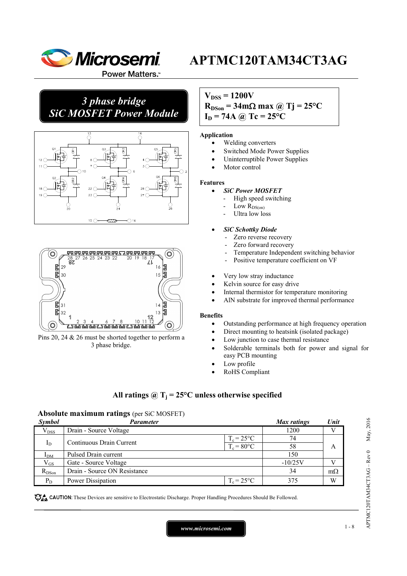

Power Matters.<sup>™</sup>

## *3 phase bridge SiC MOSFET Power Module*





Pins 20, 24 & 26 must be shorted together to perform a 3 phase bridge.

## $V_{DSS} = 1200V$  $R_{DSon} = 34 \text{m}\Omega \text{ max}$  @ Tj = 25<sup>o</sup>C  $I_D = 74A \omega$  Tc = 25<sup>o</sup>C

#### **Application**

- Welding converters
- Switched Mode Power Supplies
- Uninterruptible Power Supplies
- Motor control

#### **Features**

- *SiC Power MOSFET*
	- High speed switching
	- Low  $R_{DS(on)}$
	- Ultra low loss

#### • *SiC Schottky Diode*

- Zero reverse recovery
- Zero forward recovery
- Temperature Independent switching behavior
- Positive temperature coefficient on VF
- Very low stray inductance
- Kelvin source for easy drive
- Internal thermistor for temperature monitoring
- AlN substrate for improved thermal performance

#### **Benefits**

- Outstanding performance at high frequency operation
- Direct mounting to heatsink (isolated package)
- Low junction to case thermal resistance
- Solderable terminals both for power and signal for easy PCB mounting
- Low profile
- RoHS Compliant

## All ratings  $\omega_{\text{I}} = 25^{\circ}\text{C}$  unless otherwise specified

#### **Absolute maximum ratings** (per SiC MOSFET)

| <b>Symbol</b> | Parameter                    |                     | Max ratings | Unit      |
|---------------|------------------------------|---------------------|-------------|-----------|
| $V_{DSS}$     | Drain - Source Voltage       |                     | 1200        |           |
|               | Continuous Drain Current     | $T_c = 25^{\circ}C$ | 74          |           |
| $I_D$         |                              | $T_c = 80$ °C       | 58          | А         |
| $I_{DM}$      | Pulsed Drain current         |                     | 150         |           |
| $\rm V_{GS}$  | Gate - Source Voltage        |                     | $-10/25V$   |           |
| $R_{DSon}$    | Drain - Source ON Resistance |                     | 34          | $m\Omega$ |
| $P_D$         | Power Dissipation            | $T_c = 25$ °C       | 375         | W         |

CAUTION: These Devices are sensitive to Electrostatic Discharge. Proper Handling Procedures Should Be Followed.

APTMC120TAM34CT3AG – Rev 0 May, 2016

APTMC120TAM34CT3AG-Rev 0

May, 2016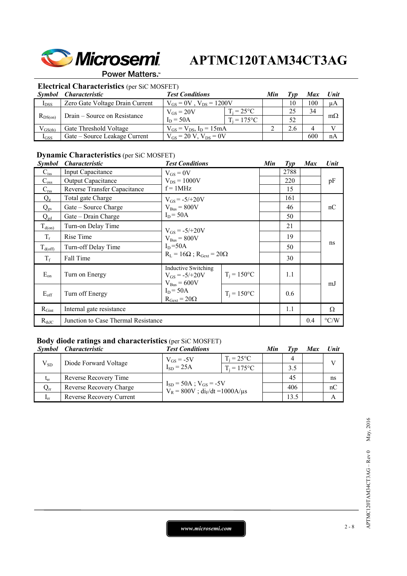

### Power Matters.<sup>\*\*</sup>

## **Electrical Characteristics** (per SiC MOSFET)

| Symbol       | <i>Characteristic</i>           | <b>Test Conditions</b>           |                     |  |     | <b>Max</b> | Unit      |
|--------------|---------------------------------|----------------------------------|---------------------|--|-----|------------|-----------|
| $I_{DSS}$    | Zero Gate Voltage Drain Current | $V_{GS} = 0V$ , $V_{DS} = 1200V$ |                     |  | 10  | 100        | $\mu A$   |
|              |                                 | $V_{GS} = 20V$                   | $T_i = 25^{\circ}C$ |  | 25  | 34         |           |
| $R_{DS(on)}$ | Drain – Source on Resistance    | $I_D = 50A$                      | $T_i = 175$ °C      |  | 52  |            | $m\Omega$ |
| $V_{GS(th)}$ | Gate Threshold Voltage          | $V_{GS} = V_{DS}$ , $I_D = 15mA$ |                     |  | 2.6 |            |           |
| $I_{GSS}$    | Gate – Source Leakage Current   | $V_{GS} = 20 V$ , $V_{DS} = 0V$  |                     |  |     | 600        | nA        |

## **Dynamic Characteristics** (per SiC MOSFET)

| <b>Symbol</b> | <i><b>Characteristic</b></i>        | <b>Test Conditions</b>                                        |                      | Min | $\mathcal{I}yp$ | <b>Max</b> | Unit               |
|---------------|-------------------------------------|---------------------------------------------------------------|----------------------|-----|-----------------|------------|--------------------|
| $C_{iss}$     | Input Capacitance                   | $V_{GS} = 0V$                                                 |                      |     | 2788            |            |                    |
| $C_{\rm oss}$ | <b>Output Capacitance</b>           | $V_{DS} = 1000V$<br>$f = 1MHz$                                |                      |     | 220             |            | pF                 |
| $C_{\rm rss}$ | Reverse Transfer Capacitance        |                                                               |                      |     | 15              |            |                    |
| $Q_{\rm g}$   | Total gate Charge                   | $V_{GS} = -5/+20V$                                            |                      |     | 161             |            |                    |
| $Q_{gs}$      | Gate – Source Charge                | $V_{Bus} = 800V$                                              |                      |     | 46              |            | nC                 |
| $Q_{gd}$      | Gate – Drain Charge                 | $I_D = 50A$                                                   |                      |     | 50              |            |                    |
| $T_{d(0n)}$   | Turn-on Delay Time                  | $V_{GS} = -5/+20V$                                            |                      |     | 21              |            |                    |
| $T_r$         | Rise Time                           | $V_{\text{Bus}} = 800V$                                       |                      |     | 19              |            |                    |
| $T_{d(off)}$  | Turn-off Delay Time                 | $I_D = 50A$<br>$R_L = 16\Omega$ ; $R_{Gext} = 20\Omega$       |                      |     | 50              |            | ns                 |
| $T_f$         | Fall Time                           |                                                               |                      |     | 30              |            |                    |
| $E_{on}$      | Turn on Energy                      | Inductive Switching<br>$V_{GS} = -5/+20V$<br>$V_{Bus} = 600V$ | $T_i = 150^{\circ}C$ |     | 1.1             |            | mJ                 |
| $E_{\rm off}$ | Turn off Energy                     | $I_D = 50A$<br>$R_{\text{Gext}} = 20\Omega$                   | $T_i = 150$ °C       |     | 0.6             |            |                    |
| $R_{Gint}$    | Internal gate resistance            |                                                               |                      |     | 1.1             |            | Ω                  |
| $R_{thJC}$    | Junction to Case Thermal Resistance |                                                               |                      |     |                 | 0.4        | $\rm ^{\circ} C/W$ |

## **Body diode ratings and characteristics** (per SiC MOSFET)

| <i>Symbol</i>            | <i>Characteristic</i>    | <b>Test Conditions</b>                                                    |                     | Min | Typ  | Max | Unit         |
|--------------------------|--------------------------|---------------------------------------------------------------------------|---------------------|-----|------|-----|--------------|
|                          | Diode Forward Voltage    | $V_{GS}$ = -5V                                                            | $T_i = 25^{\circ}C$ |     | 4    |     | $\mathbf{V}$ |
| $V_{SD}$                 |                          | $I_{SD}$ = 25A                                                            | $T_i = 175$ °C      |     | 3.5  |     |              |
| $t_{rr}$                 | Reverse Recovery Time    | $I_{SD} = 50A$ ; $V_{GS} = -5V$<br>$V_R = 800V$ ; $di_F/dt = 1000A/\mu s$ |                     |     | 45   |     | ns           |
| $\rm Q_{rr}$             | Reverse Recovery Charge  |                                                                           |                     |     | 406  |     | nC           |
| $\mathbf{I}_{\text{IT}}$ | Reverse Recovery Current |                                                                           |                     |     | 13.5 |     | А            |

*www.microsemi.com* 2-8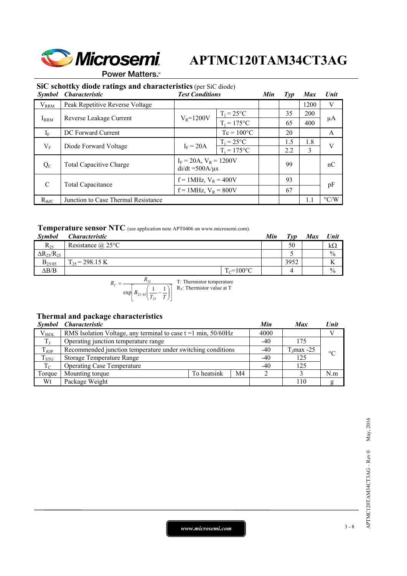

Power Matters.<sup>\*\*</sup>

## **SiC schottky diode ratings and characteristics** (per SiC diode)

| <b>Symbol</b> | <b>Characteristic</b>                                 | <b>Test Conditions</b>                              |                     | Min | $\mathcal{I}yp$ | <b>Max</b> | Unit               |                |                |     |    |     |    |
|---------------|-------------------------------------------------------|-----------------------------------------------------|---------------------|-----|-----------------|------------|--------------------|----------------|----------------|-----|----|-----|----|
| $V_{RRM}$     | Peak Repetitive Reverse Voltage                       |                                                     |                     |     |                 | 1200       | V                  |                |                |     |    |     |    |
|               |                                                       |                                                     | $T_i = 25$ °C       |     | 35              | <b>200</b> |                    |                |                |     |    |     |    |
| $I_{RRM}$     | Reverse Leakage Current                               |                                                     |                     |     | $V_R = 1200V$   |            |                    |                | $T_i = 175$ °C |     | 65 | 400 | μA |
| $I_F$         | DC Forward Current                                    |                                                     | $Tc = 100^{\circ}C$ |     | 20              |            | A                  |                |                |     |    |     |    |
|               | $V_{\rm F}$<br>$I_F = 20A$<br>Diode Forward Voltage   | $T_i = 25^{\circ}C$                                 |                     | 1.5 | 1.8             | V          |                    |                |                |     |    |     |    |
|               |                                                       |                                                     |                     |     |                 |            |                    | $T_i = 175$ °C |                | 2.2 | 3  |     |    |
| $Q_{C}$       | <b>Total Capacitive Charge</b>                        | $I_F = 20A$ , $V_R = 1200V$<br>$di/dt = 500A/\mu s$ |                     |     | 99              |            | nC                 |                |                |     |    |     |    |
| $\mathcal{C}$ | $f = 1$ MHz, $V_R = 400V$<br><b>Total Capacitance</b> |                                                     |                     | 93  |                 | pF         |                    |                |                |     |    |     |    |
|               |                                                       | $f = 1$ MHz, $V_R = 800V$                           |                     |     | 67              |            |                    |                |                |     |    |     |    |
| $R_{thJC}$    | Junction to Case Thermal Resistance                   |                                                     |                     |     |                 | 1.1        | $\rm ^{\circ} C/W$ |                |                |     |    |     |    |

### **Temperature sensor NTC** (see application note APT0406 on www.microsemi.com).

| 50<br>Resistance $\omega$ 25°C<br>$R_{25}$      | kΩ            |
|-------------------------------------------------|---------------|
| $\Delta R_{25}/R_{25}$                          | $\frac{0}{0}$ |
| 3952<br>$\Gamma_{25}$ = 298.15 K<br>$B_{25/85}$ |               |
| $\Delta B/B$<br>$T_c = 100$ °C<br>4             | $\frac{0}{0}$ |

$$
R_T = \frac{R_{25}}{\exp\left[B_{25/85}\left(\frac{1}{T_{25}} - \frac{1}{T}\right)\right]}
$$
 T: Thermistor temperature

## **Thermal and package characteristics**

|               | Symbol Characteristic                                            |             |                |       | <b>Max</b>    | Unit            |
|---------------|------------------------------------------------------------------|-------------|----------------|-------|---------------|-----------------|
| $V_{ISOL}$    | RMS Isolation Voltage, any terminal to case $t = 1$ min, 50/60Hz |             |                | 4000  |               |                 |
|               | Operating junction temperature range                             |             |                | $-40$ | 175           |                 |
| $T_{\rm JOP}$ | Recommended junction temperature under switching conditions      |             |                | $-40$ | $T_J$ max -25 | $\rm ^{\circ}C$ |
| $T_{STG}$     | Storage Temperature Range                                        |             |                | $-40$ | 125           |                 |
| $T_{C}$       | <b>Operating Case Temperature</b>                                |             |                |       | 125           |                 |
| Torque        | Mounting torque                                                  | To heatsink | M <sub>4</sub> |       |               | N.m             |
| Wt            | Package Weight                                                   |             |                |       | 110           |                 |

*www.microsemi.com* 3-8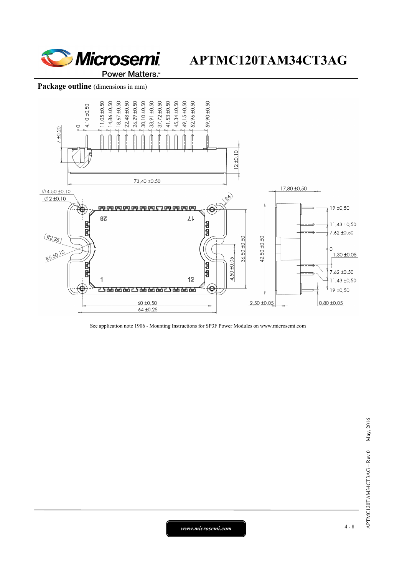

#### Package outline (dimensions in mm)



See application note 1906 - Mounting Instructions for SP3F Power Modules on www.microsemi.com

*www.microsemi.com* 4-8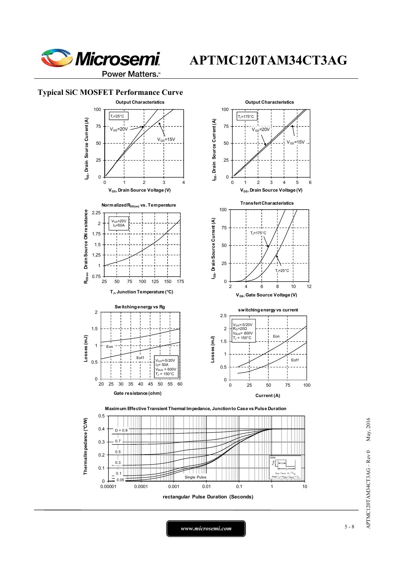

Power Matters.<sup>™</sup>

### **Typical SiC MOSFET Performance Curve**



*www.microsemi.com* 5-8

APTMC120TAM34CT3AG – Rev 0 May, 2016

APTMC120TAM34CT3AG - Rev 0

May, 2016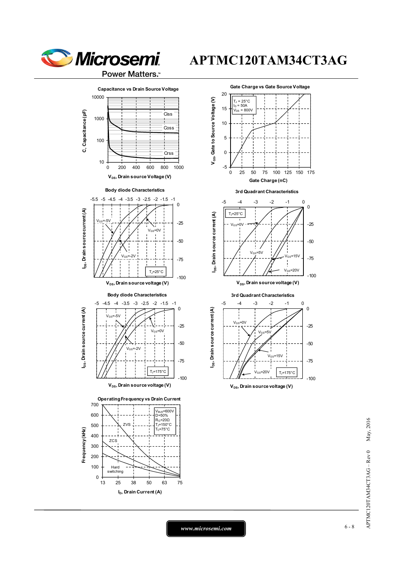





 $V_{DS}$ , Drain source voltage (V)

May, 2016 APTMC120TAM34CT3AG – Rev 0 May, 2016 APTMC120TAM34CT3AG - Rev 0

*www.microsemi.com* 6-8

-100

TJ=175°C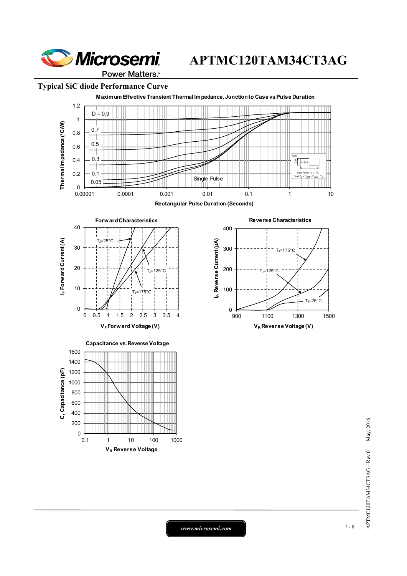

#### **Typical SiC diode Performance Curve**



May, 2016 APTMC120TAM34CT3AG – Rev 0 May, 2016 APTMC120TAM34CT3AG - Rev 0

*www.microsemi.com* 7-8